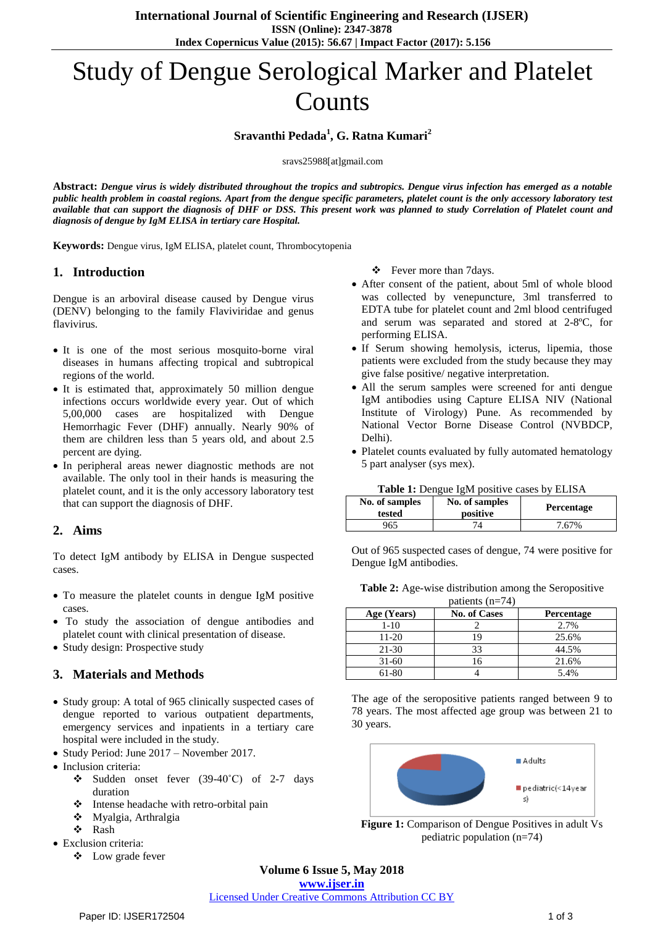# Study of Dengue Serological Marker and Platelet **Counts**

#### **Sravanthi Pedada<sup>1</sup> , G. Ratna Kumari<sup>2</sup>**

sravs25988[at]gmail.com

**Abstract:** *Dengue virus is widely distributed throughout the tropics and subtropics. Dengue virus infection has emerged as a notable*  public health problem in coastal regions. Apart from the dengue specific parameters, platelet count is the only accessory laboratory test available that can support the diagnosis of DHF or DSS. This present work was planned to study Correlation of Platelet count and *diagnosis of dengue by IgM ELISA in tertiary care Hospital.*

**Keywords:** Dengue virus, IgM ELISA, platelet count, Thrombocytopenia

#### **1. Introduction**

Dengue is an arboviral disease caused by Dengue virus (DENV) belonging to the family Flaviviridae and genus flavivirus.

- It is one of the most serious mosquito-borne viral diseases in humans affecting tropical and subtropical regions of the world.
- It is estimated that, approximately 50 million dengue infections occurs worldwide every year. Out of which 5,00,000 cases are hospitalized with Dengue Hemorrhagic Fever (DHF) annually. Nearly 90% of them are children less than 5 years old, and about 2.5 percent are dying.
- In peripheral areas newer diagnostic methods are not available. The only tool in their hands is measuring the platelet count, and it is the only accessory laboratory test that can support the diagnosis of DHF.

#### **2. Aims**

To detect IgM antibody by ELISA in Dengue suspected cases.

- To measure the platelet counts in dengue IgM positive cases.
- To study the association of dengue antibodies and platelet count with clinical presentation of disease.
- Study design: Prospective study

# **3. Materials and Methods**

- Study group: A total of 965 clinically suspected cases of dengue reported to various outpatient departments, emergency services and inpatients in a tertiary care hospital were included in the study.
- Study Period: June 2017 November 2017.
- Inclusion criteria:
	- Sudden onset fever (39-40˚C) of 2-7 days duration
	- Intense headache with retro-orbital pain
	- Myalgia, Arthralgia
	- Rash
- Exclusion criteria:
	- Low grade fever

Fever more than 7days.

- After consent of the patient, about 5ml of whole blood was collected by venepuncture, 3ml transferred to EDTA tube for platelet count and 2ml blood centrifuged and serum was separated and stored at 2-8ºC, for performing ELISA.
- If Serum showing hemolysis, icterus, lipemia, those patients were excluded from the study because they may give false positive/ negative interpretation.
- All the serum samples were screened for anti dengue IgM antibodies using Capture ELISA NIV (National Institute of Virology) Pune. As recommended by National Vector Borne Disease Control (NVBDCP, Delhi).
- Platelet counts evaluated by fully automated hematology 5 part analyser (sys mex).

|  |  |  | Table 1: Dengue IgM positive cases by ELISA |  |  |
|--|--|--|---------------------------------------------|--|--|
|--|--|--|---------------------------------------------|--|--|

| No. of samples<br>tested | No. of samples<br>positive | <b>Percentage</b> |
|--------------------------|----------------------------|-------------------|
| 965                      |                            | 7.67%             |

Out of 965 suspected cases of dengue, 74 were positive for Dengue IgM antibodies.

|  |                     | Table 2: Age-wise distribution among the Seropositive |
|--|---------------------|-------------------------------------------------------|
|  | 1.11.11.11.11.71.71 |                                                       |

| patients $(II=74)$ |                     |                   |  |
|--------------------|---------------------|-------------------|--|
| Age (Years)        | <b>No. of Cases</b> | <b>Percentage</b> |  |
| $1 - 10$           |                     | 2.7%              |  |
| 11-20              | 19                  | 25.6%             |  |
| $21 - 30$          | 33                  | 44.5%             |  |
| $31-60$            | 16                  | 21.6%             |  |
| 61-80              |                     | 5.4%              |  |

The age of the seropositive patients ranged between 9 to 78 years. The most affected age group was between 21 to 30 years.



**Figure 1:** Comparison of Dengue Positives in adult Vs pediatric population (n=74)

# **Volume 6 Issue 5, May 2018**

**<www.ijser.in>** [Licensed Under Creative Commons Attribution CC BY](http://creativecommons.org/licenses/by/4.0/)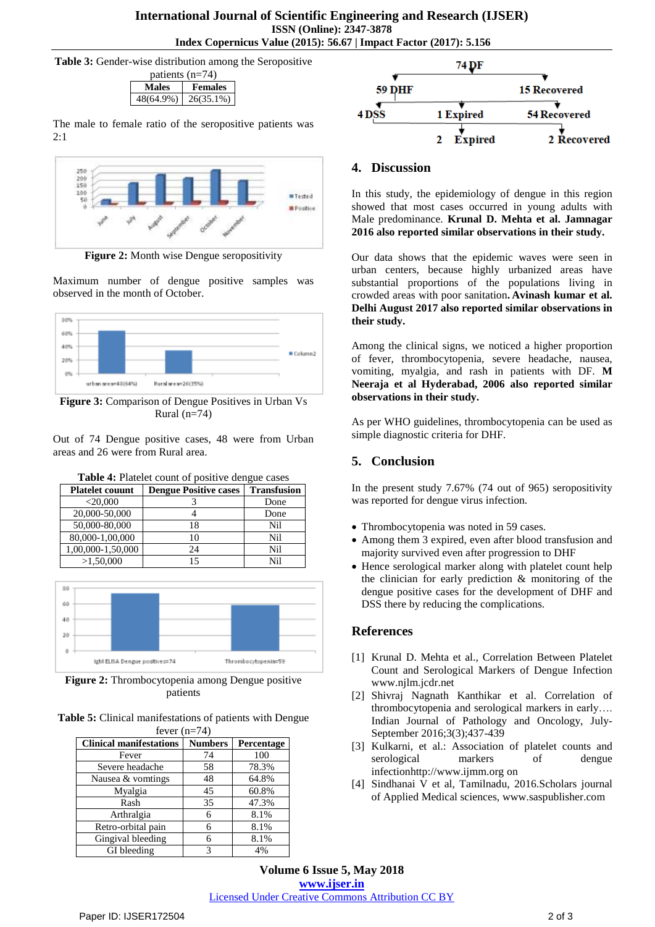**Table 3:** Gender-wise distribution among the Seropositive



The male to female ratio of the seropositive patients was  $2:1$ 



**Figure 2:** Month wise Dengue seropositivity

Maximum number of dengue positive samples was observed in the month of October.



**Figure 3:** Comparison of Dengue Positives in Urban Vs Rural (n=74)

Out of 74 Dengue positive cases, 48 were from Urban areas and 26 were from Rural area.

| <b>THEIR TO HERE COUNTED DUSTING GUILGIC CASCS</b> |                              |                    |  |
|----------------------------------------------------|------------------------------|--------------------|--|
| <b>Platelet couunt</b>                             | <b>Dengue Positive cases</b> | <b>Transfusion</b> |  |
| $<$ 20,000                                         |                              | Done               |  |
| 20,000-50,000                                      |                              | Done               |  |
| 50,000-80,000                                      | 18                           | Nil                |  |
| 80,000-1,00,000                                    |                              | Nil                |  |
| 1,00,000-1,50,000                                  | 24                           | Nil                |  |
| >1,50,000                                          |                              | Nil                |  |



**Figure 2:** Thrombocytopenia among Dengue positive patients

Thrombocytopenia=59

**Table 5:** Clinical manifestations of patients with Dengue fever  $(n=74)$ 

| <b>Clinical manifestations</b> | <b>Numbers</b> | Percentage |
|--------------------------------|----------------|------------|
| Fever                          | 74             | 100        |
| Severe headache                | 58             | 78.3%      |
| Nausea & vomtings              | 48             | 64.8%      |
| Myalgia                        | 45             | 60.8%      |
| Rash                           | 35             | 47.3%      |
| Arthralgia                     | 6              | 8.1%       |
| Retro-orbital pain             | 6              | 8.1%       |
| Gingival bleeding              | 6              | 8.1%       |
| GI bleeding                    | 3              | 4%         |



### **4. Discussion**

In this study, the epidemiology of dengue in this region showed that most cases occurred in young adults with Male predominance. **Krunal D. Mehta et al. Jamnagar 2016 also reported similar observations in their study.**

Our data shows that the epidemic waves were seen in urban centers, because highly urbanized areas have substantial proportions of the populations living in crowded areas with poor sanitation**. Avinash kumar et al. Delhi August 2017 also reported similar observations in their study.**

Among the clinical signs, we noticed a higher proportion of fever, thrombocytopenia, severe headache, nausea, vomiting, myalgia, and rash in patients with DF. **M Neeraja et al Hyderabad, 2006 also reported similar observations in their study.**

As per WHO guidelines, thrombocytopenia can be used as simple diagnostic criteria for DHF.

# **5. Conclusion**

In the present study 7.67% (74 out of 965) seropositivity was reported for dengue virus infection.

- Thrombocytopenia was noted in 59 cases.
- Among them 3 expired, even after blood transfusion and majority survived even after progression to DHF
- Hence serological marker along with platelet count help the clinician for early prediction & monitoring of the dengue positive cases for the development of DHF and DSS there by reducing the complications.

# **References**

- [1] Krunal D. Mehta et al., Correlation Between Platelet Count and Serological Markers of Dengue Infection www.njlm.jcdr.net
- [2] Shivraj Nagnath Kanthikar et al. Correlation of thrombocytopenia and serological markers in early…. Indian Journal of Pathology and Oncology, July-September 2016;3(3);437-439
- [3] Kulkarni, et al.: Association of platelet counts and serological markers of dengue infectionhttp://www.ijmm.org on
- [4] Sindhanai V et al, Tamilnadu, 2016.Scholars journal of Applied Medical sciences, www.saspublisher.com

**Volume 6 Issue 5, May 2018 <www.ijser.in>** [Licensed Under Creative Commons Attribution CC BY](http://creativecommons.org/licenses/by/4.0/)

lgM ELISA Dengue positives=74

**Table 4:** Platelet count of positive dengue cases